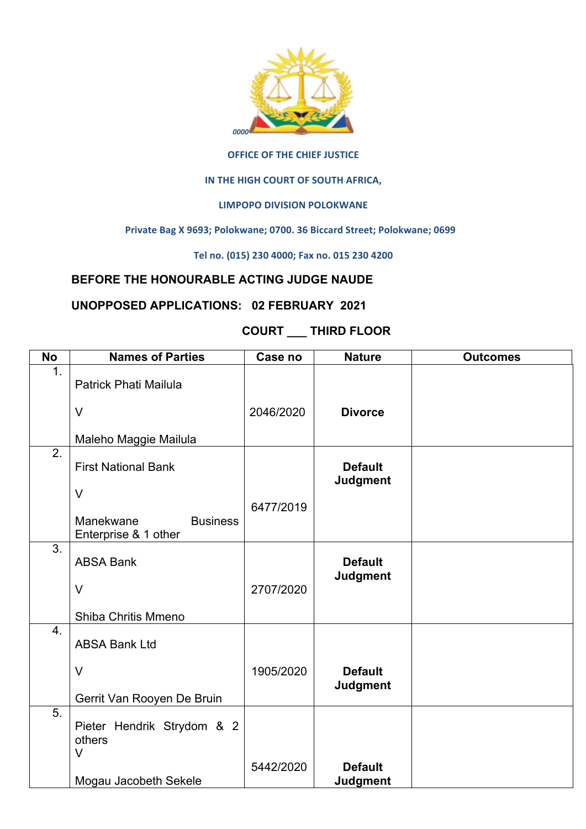

#### **OFFICE OF THE CHIEF JUSTICE**

#### **IN THE HIGH COURT OF SOUTH AFRICA,**

### LIMPOPO DIVISION POLOKWANE

#### Private Bag X 9693; Polokwane; 0700. 36 Biccard Street; Polokwane; 0699

**Tel no. (015) 230 4000; Fax no. 015 230 4200**

## **BEFORE THE HONOURABLE ACTING JUDGE NAUDE**

## **UNOPPOSED APPLICATIONS: 02 FEBRUARY 2021**

# **COURT \_\_\_ THIRD FLOOR**

| <b>No</b>        | <b>Names of Parties</b>                   | Case no   | <b>Nature</b>                     | <b>Outcomes</b> |
|------------------|-------------------------------------------|-----------|-----------------------------------|-----------------|
| 1.               | <b>Patrick Phati Mailula</b>              |           |                                   |                 |
|                  | $\vee$                                    | 2046/2020 | <b>Divorce</b>                    |                 |
|                  | Maleho Maggie Mailula                     |           |                                   |                 |
| 2.               | <b>First National Bank</b>                |           | <b>Default</b><br><b>Judgment</b> |                 |
|                  | $\vee$                                    |           |                                   |                 |
|                  | <b>Business</b><br>Manekwane              | 6477/2019 |                                   |                 |
|                  | Enterprise & 1 other                      |           |                                   |                 |
| $\overline{3}$ . |                                           |           |                                   |                 |
|                  | <b>ABSA Bank</b>                          |           | <b>Default</b>                    |                 |
|                  | $\vee$                                    | 2707/2020 | <b>Judgment</b>                   |                 |
|                  | Shiba Chritis Mmeno                       |           |                                   |                 |
| 4.               | <b>ABSA Bank Ltd</b>                      |           |                                   |                 |
|                  | $\vee$                                    | 1905/2020 | <b>Default</b><br><b>Judgment</b> |                 |
|                  | Gerrit Van Rooyen De Bruin                |           |                                   |                 |
| 5.               | Pieter Hendrik Strydom & 2<br>others<br>V |           |                                   |                 |
|                  | Mogau Jacobeth Sekele                     | 5442/2020 | <b>Default</b><br><b>Judgment</b> |                 |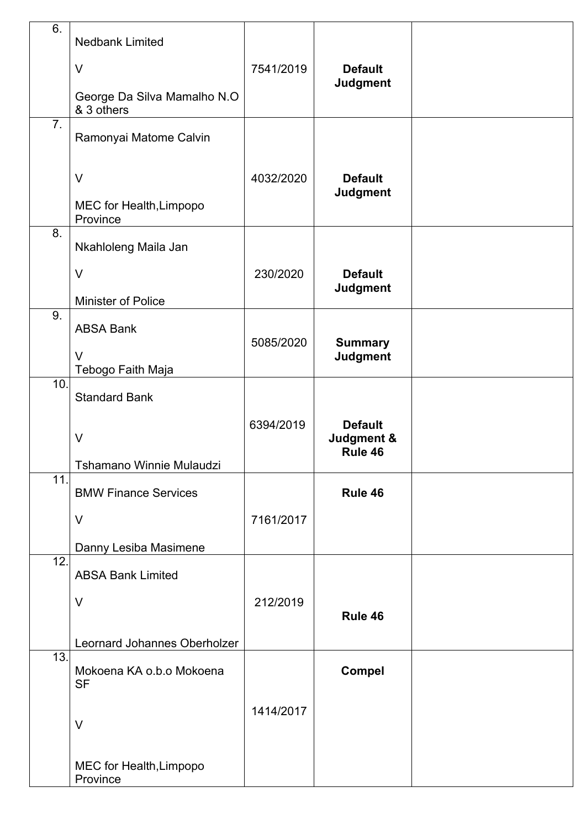| 6.               | <b>Nedbank Limited</b>                    |           |                                   |  |
|------------------|-------------------------------------------|-----------|-----------------------------------|--|
|                  | $\vee$                                    | 7541/2019 | <b>Default</b>                    |  |
|                  | George Da Silva Mamalho N.O<br>& 3 others |           | <b>Judgment</b>                   |  |
| $\overline{7}$ . | Ramonyai Matome Calvin                    |           |                                   |  |
|                  | $\vee$                                    | 4032/2020 | <b>Default</b><br><b>Judgment</b> |  |
|                  | MEC for Health, Limpopo<br>Province       |           |                                   |  |
| 8.               | Nkahloleng Maila Jan                      |           |                                   |  |
|                  | $\vee$                                    | 230/2020  | <b>Default</b>                    |  |
|                  | Minister of Police                        |           | <b>Judgment</b>                   |  |
| 9.               | <b>ABSA Bank</b>                          | 5085/2020 | <b>Summary</b>                    |  |
|                  | $\vee$<br>Tebogo Faith Maja               |           | <b>Judgment</b>                   |  |
| 10.              | <b>Standard Bank</b>                      |           |                                   |  |
|                  |                                           | 6394/2019 | <b>Default</b>                    |  |
|                  | $\vee$                                    |           | Judgment &<br>Rule 46             |  |
|                  | Tshamano Winnie Mulaudzi                  |           |                                   |  |
| $\overline{11}$  | <b>BMW Finance Services</b>               |           | Rule 46                           |  |
|                  | $\vee$                                    | 7161/2017 |                                   |  |
|                  | Danny Lesiba Masimene                     |           |                                   |  |
| 12.              | <b>ABSA Bank Limited</b>                  |           |                                   |  |
|                  | $\vee$                                    | 212/2019  |                                   |  |
|                  |                                           |           | Rule 46                           |  |
|                  | Leornard Johannes Oberholzer              |           |                                   |  |
| 13.              | Mokoena KA o.b.o Mokoena<br><b>SF</b>     |           | <b>Compel</b>                     |  |
|                  |                                           | 1414/2017 |                                   |  |
|                  | $\vee$                                    |           |                                   |  |
|                  | MEC for Health, Limpopo<br>Province       |           |                                   |  |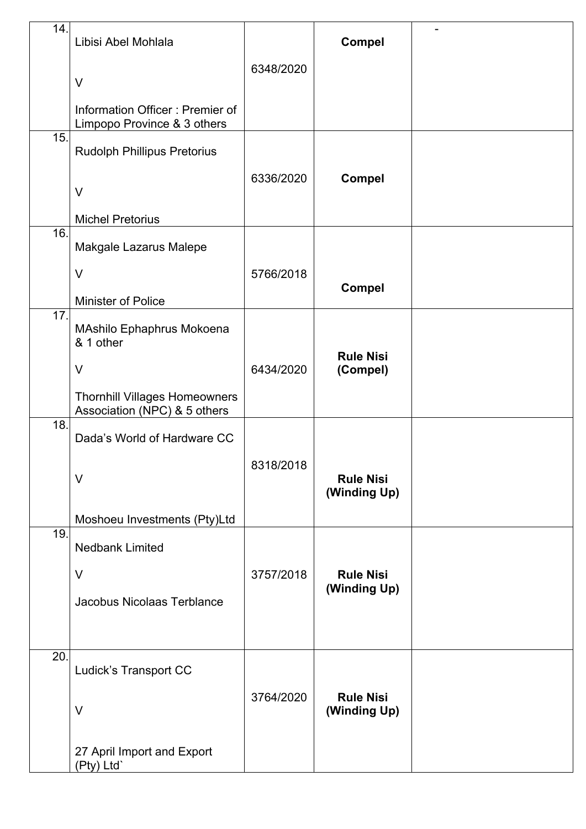| 14. | Libisi Abel Mohlala                                                  |           | <b>Compel</b>                    |  |
|-----|----------------------------------------------------------------------|-----------|----------------------------------|--|
|     | $\vee$                                                               | 6348/2020 |                                  |  |
|     | Information Officer: Premier of<br>Limpopo Province & 3 others       |           |                                  |  |
| 15. | <b>Rudolph Phillipus Pretorius</b>                                   |           |                                  |  |
|     | $\vee$                                                               | 6336/2020 | <b>Compel</b>                    |  |
|     | <b>Michel Pretorius</b>                                              |           |                                  |  |
| 16. | Makgale Lazarus Malepe                                               |           |                                  |  |
|     | $\vee$                                                               | 5766/2018 |                                  |  |
|     | Minister of Police                                                   |           | <b>Compel</b>                    |  |
| 17. | MAshilo Ephaphrus Mokoena<br>& 1 other                               |           |                                  |  |
|     | $\vee$                                                               | 6434/2020 | <b>Rule Nisi</b><br>(Compel)     |  |
|     | <b>Thornhill Villages Homeowners</b><br>Association (NPC) & 5 others |           |                                  |  |
| 18. | Dada's World of Hardware CC                                          |           |                                  |  |
|     | $\vee$                                                               | 8318/2018 | <b>Rule Nisi</b><br>(Winding Up) |  |
|     | Moshoeu Investments (Pty)Ltd                                         |           |                                  |  |
| 19. | <b>Nedbank Limited</b>                                               |           |                                  |  |
|     | $\vee$                                                               | 3757/2018 | <b>Rule Nisi</b>                 |  |
|     | Jacobus Nicolaas Terblance                                           |           | (Winding Up)                     |  |
|     |                                                                      |           |                                  |  |
| 20. | Ludick's Transport CC                                                |           |                                  |  |
|     | $\vee$                                                               | 3764/2020 | <b>Rule Nisi</b><br>(Winding Up) |  |
|     | 27 April Import and Export<br>(Pty) Ltd`                             |           |                                  |  |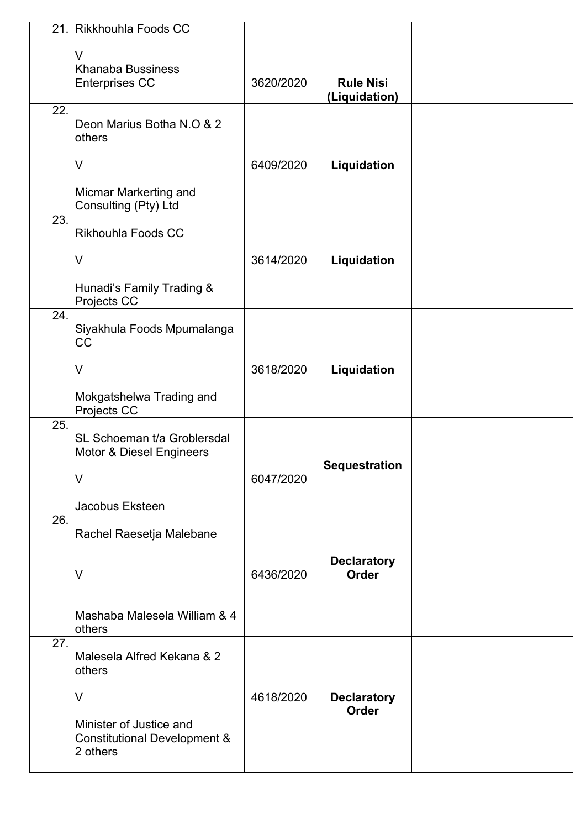| 21. | Rikkhouhla Foods CC                                                            |           |                                    |  |
|-----|--------------------------------------------------------------------------------|-----------|------------------------------------|--|
|     | $\vee$<br><b>Khanaba Bussiness</b><br><b>Enterprises CC</b>                    | 3620/2020 | <b>Rule Nisi</b><br>(Liquidation)  |  |
| 22. | Deon Marius Botha N.O & 2<br>others                                            |           |                                    |  |
|     | $\vee$                                                                         | 6409/2020 | Liquidation                        |  |
|     | Micmar Markerting and<br>Consulting (Pty) Ltd                                  |           |                                    |  |
| 23. | Rikhouhla Foods CC                                                             |           |                                    |  |
|     | $\vee$                                                                         | 3614/2020 | Liquidation                        |  |
|     | Hunadi's Family Trading &<br>Projects CC                                       |           |                                    |  |
| 24. | Siyakhula Foods Mpumalanga<br>CC                                               |           |                                    |  |
|     | $\vee$                                                                         | 3618/2020 | Liquidation                        |  |
|     | Mokgatshelwa Trading and<br>Projects CC                                        |           |                                    |  |
| 25. | SL Schoeman t/a Groblersdal<br>Motor & Diesel Engineers                        |           | <b>Sequestration</b>               |  |
|     | $\vee$                                                                         | 6047/2020 |                                    |  |
| 26. | Jacobus Eksteen                                                                |           |                                    |  |
|     | Rachel Raesetja Malebane                                                       |           |                                    |  |
|     | $\vee$                                                                         | 6436/2020 | <b>Declaratory</b><br><b>Order</b> |  |
|     | Mashaba Malesela William & 4<br>others                                         |           |                                    |  |
| 27. | Malesela Alfred Kekana & 2<br>others                                           |           |                                    |  |
|     | $\vee$                                                                         | 4618/2020 | <b>Declaratory</b><br><b>Order</b> |  |
|     | Minister of Justice and<br><b>Constitutional Development &amp;</b><br>2 others |           |                                    |  |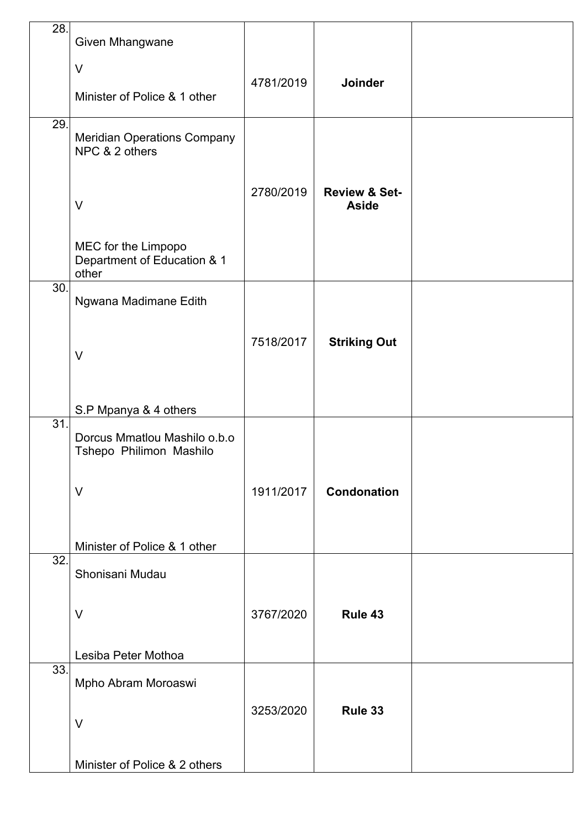| 28. | Given Mhangwane                                             |           |                                          |  |
|-----|-------------------------------------------------------------|-----------|------------------------------------------|--|
|     | $\vee$                                                      | 4781/2019 | <b>Joinder</b>                           |  |
|     | Minister of Police & 1 other                                |           |                                          |  |
| 29. | <b>Meridian Operations Company</b><br>NPC & 2 others        |           |                                          |  |
|     | $\vee$                                                      | 2780/2019 | <b>Review &amp; Set-</b><br><b>Aside</b> |  |
|     | MEC for the Limpopo<br>Department of Education & 1<br>other |           |                                          |  |
| 30. | Ngwana Madimane Edith                                       |           |                                          |  |
|     | $\vee$                                                      | 7518/2017 | <b>Striking Out</b>                      |  |
|     | S.P Mpanya & 4 others                                       |           |                                          |  |
| 31. | Dorcus Mmatlou Mashilo o.b.o<br>Tshepo Philimon Mashilo     |           |                                          |  |
|     | $\vee$                                                      | 1911/2017 | <b>Condonation</b>                       |  |
|     | Minister of Police & 1 other                                |           |                                          |  |
| 32. | Shonisani Mudau                                             |           |                                          |  |
|     | $\vee$                                                      | 3767/2020 | Rule 43                                  |  |
|     | Lesiba Peter Mothoa                                         |           |                                          |  |
| 33. | Mpho Abram Moroaswi                                         |           |                                          |  |
|     | $\vee$                                                      | 3253/2020 | Rule 33                                  |  |
|     | Minister of Police & 2 others                               |           |                                          |  |